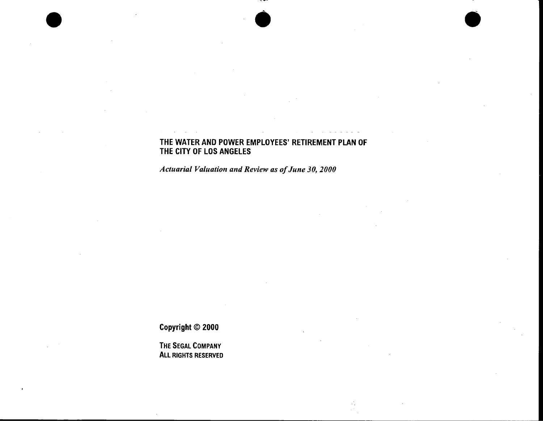## THE WATER AND POWER EMPLOYEES' RETIREMENT PLAN OF THE CITY OF LOS ANGELES

 $\bullet$ 

*Actuarial Valuation and Review as of June 30, 2000* 

Copyright © 2000

• •

THE SEGAL COMPANY ALL RIGHTS RESERVED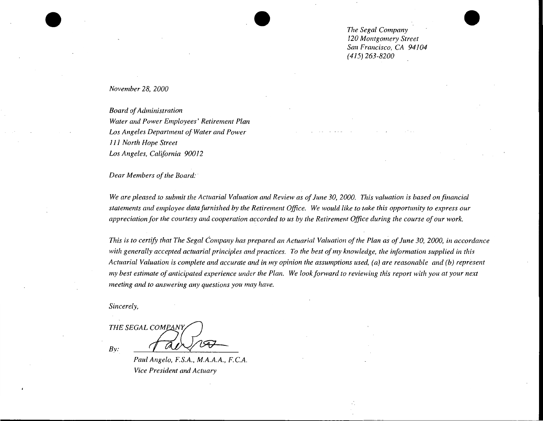*The Segal Company 120 Montgomery Street San Francisco, CA 94104 (415) 263-8200* 

 $\bullet$ 

#### *November 28, 2000*

• ••

*Board of Administration Water and Power Employees' Retirement Plan Los Angeles Department of Water and Power 111 North Hope Street Los Angeles, California 90012* 

*Dear Members of the Board:* 

*We are pleased to submit the Actuarial Valuation and Review as of June 30, 2000. This valuation is based on financial statements and employee data furnished by the Retirement Office. We would like to take this opportunity to express our appreciation for the courtesy and cooperation accorded to us by the Retirement Office during the course of our work.* 

*This is to certify that The Segal Company has prepared an Actuarial Valuation of the Plan as of June 30, 2000, in accordance with generally accepted actuarial principles and practices. To the best of my knowledge, the information supplied in this Actuarial Valuation is complete and accurate and in my opinion the assumptions used, (a) are reasonable and (b) represent my best estimate of anticipated experience under the Plan. We look forward to reviewing this report with you at your next meeting and to answering any questions you may have.* 

*Sincerely,* 

THE SEGAL COMPANY

*By:* 

*Paul Angelo, F.S.A., M.A.A.A., F.C.A. Vice President and Actuary*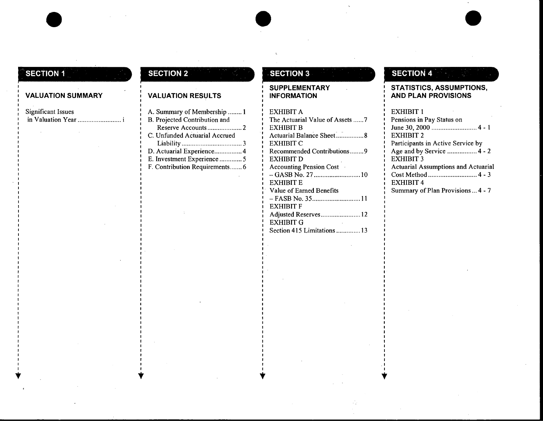# **SECTION 1**

#### **VALUATION SUMMARY**

•

Significant Issues in Valuation Year

 $\mathbf{v}$ 

# **SECTION 2**

## **VALUATION RESULTS**

- A. Summary of Membership ........ 1
- B. Projected Contribution and Reserve Accounts .................... 2 C. Unfunded Actuarial Accrued
- Liability ................................... 3
- D. Actuarial Experience ................ 4
- E. Investment Experience ............. 5
- F. Contribution Requirements ....... 6

 $\mathbf{v}$ 

# **.. SECTION 3**

#### **SUPPLEMENTARY INFORMATION**

 $\bullet$ 

 $\bullet$ .

EXHIBIT A The Actuarial Value of Assets ...... 7 EXHIBIT B Actuarial Balance Sheet: ............... 8 EXHIBITC Recommended Contributions ........ 9 EXHIBITD Accounting Pension Cost - GASB No. 27 ........................... 10 EXHIBIT E Value of Earned Benefits - FASB No. 35 ............................ 11 **EXHIBIT F** Adjusted Reserves ....................... 12 EXHIBIT G Section 415 Limitations .............. 13

# **SECTION 4**

## **STATISTICS, ASSUMPTIONS, AND PLAN PROVISIONS**

 $\bullet$ 

### EXHIBIT 1 Pensions in Pay Status on June 30, 2000 .......................... 4 - 1 EXHIBIT 2 Participants in Active Service by Age and by Service ................. 4 - 2 EXHIBIT 3 Actuarial Assumptions and Actuarial Cost Method ............................ 4 - 3 EXHIBIT 4 Summary of Plan Provisions ... 4 - 7

.I  $\mathbf{v}$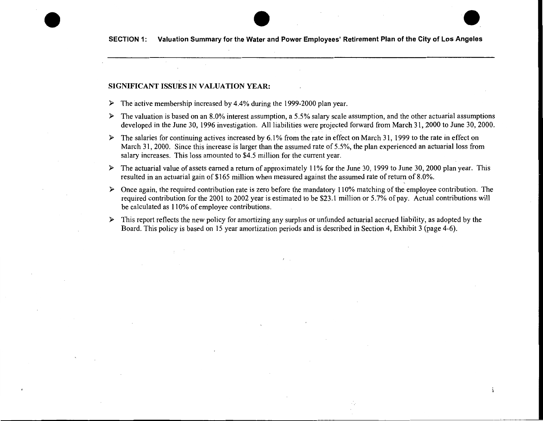#### SIGNIFICANT ISSUES IN VALUATION YEAR:

- The active membership increased by 4.4% during the 1999-2000 plan year.  $\blacktriangleright$
- $\triangleright$  The valuation is based on an 8.0% interest assumption, a 5.5% salary scale assumption, and the other actuarial assumptions developed in the June 30, 1996 investigation. All liabilities were projected forward from March 31, 2000 to June 30, 2000.
- $\triangleright$  The salaries for continuing actives increased by 6.1% from the rate in effect on March 31, 1999 to the rate in effect on March 31, 2000. Since this increase is larger than the assumed rate of 5.5%, the plan experienced an actuarial loss from salary increases. This loss amounted to \$4.5 million for the current year.
- The actuarial value of assets earned a return of approximately 11% for the June 30, 1999 to June 30, 2000 plan year. This  $\blacktriangleright$ resulted in an actuarial gain of \$165 million when measured against the assumed rate of return of 8.0%.
- $\triangleright$  Once again, the required contribution rate is zero before the mandatory 110% matching of the employee contribution. The required contribution for the 2001 to 2002 year is estimated to be \$23.1 million or 5.7% of pay. Actual contributions will be calculated as 110% of employee contributions.

 $\mathbf{i}$ 

This report reflects the new policy for amortizing any surplus or unfunded actuarial accrued liability, as adopted by the  $\blacktriangleright$ Board. This policy is based on 15 year amortization periods and is described in Section 4, Exhibit 3 (page 4-6).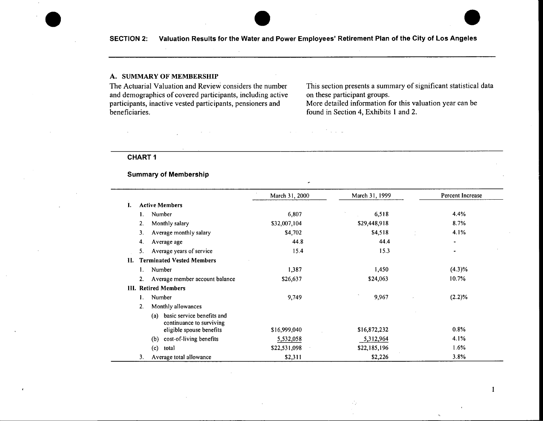• **SECTION 2: Valuation Results for the Water** • **and Power Employees' Retirement Plan of the City of Los Angeles** •

#### A. SUMMARY OF MEMBERSHIP

The Actuarial Valuation and Review considers the number and demographics of covered participants, including active participants, inactive vested participants, pensioners and beneficiaries.

This section presents a summary of significant statistical data on these participant groups.

 $\mathbf{I}$ 

More detailed information for this valuation year can be found in Section 4, Exhibits 1 and 2.

#### **CHART 1**

## **Summary of Membership**

|    |                                                                                           | March 31, 2000 | March 31, 1999 | Percent Increase             |
|----|-------------------------------------------------------------------------------------------|----------------|----------------|------------------------------|
|    | <b>Active Members</b>                                                                     |                |                |                              |
|    | Number                                                                                    | 6,807          | 6,518          | 4.4%                         |
|    | Monthly salary<br>2.                                                                      | \$32,007,104   | \$29,448,918   | 8.7%                         |
|    | Average monthly salary<br>3.                                                              | \$4,702        | \$4,518        | 4.1%                         |
|    | Average age<br>4.                                                                         | 44.8           | 44.4           | $\qquad \qquad \blacksquare$ |
|    | 5.<br>Average years of service                                                            | 15.4           | 15.3           | ۰                            |
| H. | <b>Terminated Vested Members</b>                                                          |                |                |                              |
|    | Number<br>Ι.                                                                              | 1,387          | 1,450          | $(4.3)\%$                    |
|    | Average member account balance<br>2.                                                      | \$26,637       | \$24,063       | 10.7%                        |
|    | <b>III.</b> Retired Members                                                               |                |                |                              |
|    | Number<br>1.                                                                              | 9,749          | 9,967          | $(2.2)\%$                    |
|    | $\overline{2}$ .<br>Monthly allowances                                                    |                |                |                              |
|    | basic service benefits and<br>(a)<br>continuance to surviving<br>eligible spouse benefits | \$16,999,040   | \$16,872,232   | 0.8%                         |
|    |                                                                                           |                |                | 4.1%                         |
|    | cost-of-living benefits<br>(b)                                                            | 5,532,058      | 5,312,964      | 1.6%                         |
|    | total<br>(c)                                                                              | \$22,531,098   | \$22,185,196   |                              |
|    | 3.<br>Average total allowance                                                             | \$2,311        | \$2,226        | 3.8%                         |

 $\mathcal{L}_\mathcal{C}$ 

 $\mathcal{F}^{\mathcal{A}}$  , and  $\mathcal{F}^{\mathcal{A}}$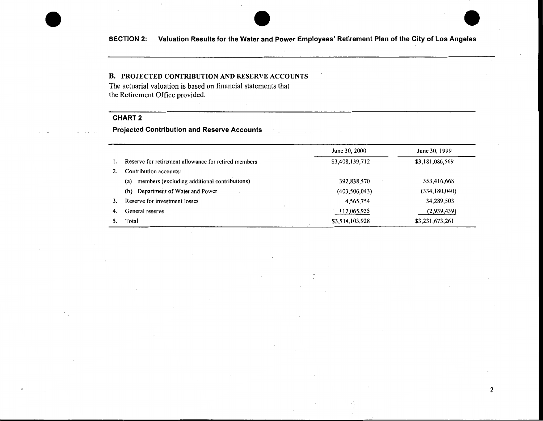## **B.** PROJECTED CONTRIBUTION AND RESERVE ACCOUNTS

The actuarial valuation is based on financial statements that the Retirement Office provided.

#### **CHART2**

**Projected Contribution and Reserve Accounts** 

|    |                                                      | June 30, 2000   | June 30, 1999   |
|----|------------------------------------------------------|-----------------|-----------------|
|    | Reserve for retirement allowance for retired members | \$3,408,139,712 | \$3,181,086,569 |
|    | Contribution accounts:                               |                 |                 |
|    | members (excluding additional contributions)<br>(a)  | 392,838,570     | 353,416,668     |
|    | Department of Water and Power<br>(b)                 | (403, 506, 043) | (334, 180, 040) |
|    | Reserve for investment losses                        | 4,565,754       | 34,289,503      |
| 4. | General reserve                                      | 112,065,935     | (2,939,439)     |
|    | Total                                                | \$3,514,103,928 | \$3,231,673,261 |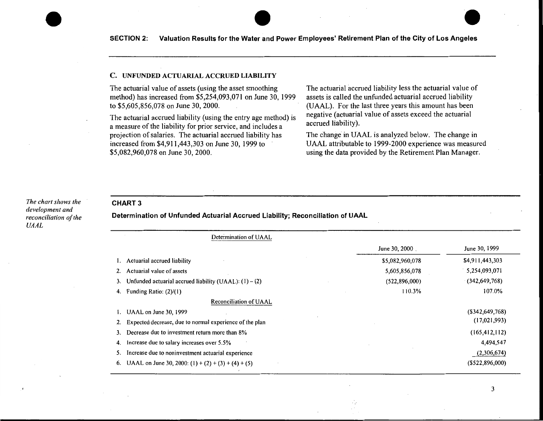#### C. UNFUNDED ACTUARIAL ACCRUED LIABILITY

The actuarial value of assets (using the asset smoothing method) has increased from \$5,254,093,071 on June 30, 1999 to \$5,605,856,078 on June 30, 2000.

The actuarial accrued liability (using the entry age method) is a measure of the liability for prior service, and includes a projection of salaries. The actuarial accrued liability has increased from \$4,911,443,303 on June 30, 1999 to \$5,082,960,078 on June 30, 2000.

The actuarial accrued liability less the actuarial value of assets is called the unfunded actuarial accrued liability (UAAL). For the last three years this amount has been negative (actuarial value of assets exceed the actuarial accrued liability).

The change in UAAL is analyzed below. The change in UAAL attributable to 1999-2000 experience was measured using the data provided by the Retirement Plan Manager.

#### *The chart shows the development and reconciliation of the UAAL*

 $\bullet$ 

#### **CHART3**

**Determination of Unfunded Actuarial Accrued Liability; Reconciliation of UAAL** 

| Determination of UAAL                                      |                 |                    |
|------------------------------------------------------------|-----------------|--------------------|
|                                                            | June 30, 2000.  | June 30, 1999      |
| Actuarial accrued liability                                | \$5,082,960,078 | \$4,911,443,303    |
| Actuarial value of assets                                  | 5,605,856,078   | 5,254,093,071      |
| Unfunded actuarial accrued liability (UAAL): $(1) - (2)$   | (522, 896, 000) | (342, 649, 768)    |
| Funding Ratio: $(2)/(1)$<br>4.                             | 110.3%          | 107.0%             |
| Reconciliation of UAAL                                     |                 |                    |
| UAAL on June 30, 1999                                      |                 | $($ \$342,649,768) |
| Expected decrease, due to normal experience of the plan    |                 | (17,021,993)       |
| Decrease due to investment return more than 8%             |                 | (165, 412, 112)    |
| Increase due to salary increases over 5.5%<br>4.           |                 | 4,494,547          |
| Increase due to noninvestment actuarial experience         |                 | (2,306,674)        |
| UAAL on June 30, 2000: $(1) + (2) + (3) + (4) + (5)$<br>6. |                 | $($ \$522,896,000) |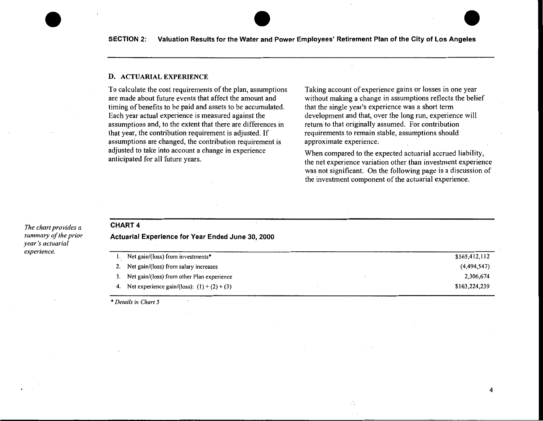#### **D.** ACTUARIAL EXPERIENCE

To calculate the cost requirements of the plan, assumptions are made about future events that affect the amount and timing of benefits to be paid and assets to be accumulated. Each year actual experience is measured against the assumptions and, to the extent that there are differences in that year, the contribution requirement is adjusted. If assumptions are changed, the contribution requirement is adjusted to take into account a change in experience anticipated for all future years.

Taking account of experience gains or losses in one year without making a change in assumptions reflects the belief that the single year's experience was a short term development and that, over the long run, experience will return to that originally assumed. For contribution requirements to remain stable, assumptions should approximate experience.

When compared to the expected actuarial accrued liability, the net experience variation other than investment experience was not significant. On the following page is a discussion of the investment component of the actuarial experience.

4

#### *The chart provides a summary of the prior year's actuarial experience.*

 $\bullet$ 

#### **CHART4**

**Actuarial Experience for Year Ended June 30, 2000** 

|    | Net gain/(loss) from investments*             | \$165,412,112 |
|----|-----------------------------------------------|---------------|
|    | 2. Net gain/(loss) from salary increases      | (4,494,547)   |
|    | 3. Net gain/(loss) from other Plan experience | 2,306,674     |
| 4. | Net experience gain/(loss): $(1) + (2) + (3)$ | \$163,224,239 |

\* *Details in Chart 5*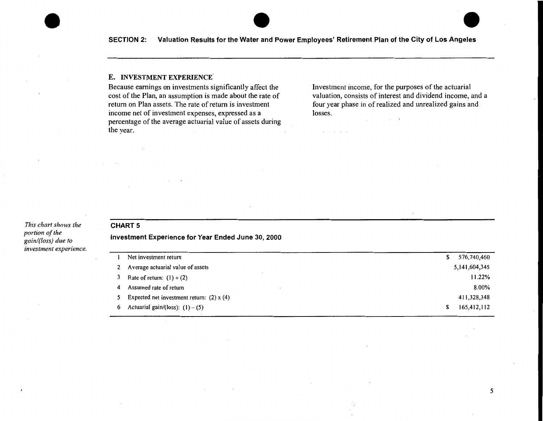#### E. INVESTMENT EXPERIENCE

Because earnings on investments significantly affect the cost of the Plan, an assumption is made about the rate of return on Plan assets. The rate of return is investment income net of investment expenses, expressed as a percentage of the average actuarial value of assets during the year.

Investment income, for the purposes of the actuarial valuation, consists of interest and dividend income, and a four year phase in of realized and unrealized gains and losses.

*This chart shows the portion of the gain/(loss) due to investment experience.* 

 $\bullet$ 

## **CHART 5**

**Investment Experience for Year Ended June 30, 2000** 

|                                                  |                                                                                   | 576,740,460      |
|--------------------------------------------------|-----------------------------------------------------------------------------------|------------------|
| Average actuarial value of assets                |                                                                                   | 5, 141, 604, 345 |
|                                                  |                                                                                   | 11.22%           |
|                                                  |                                                                                   | $8.00\%$         |
| Expected net investment return: $(2) \times (4)$ |                                                                                   | 411,328,348      |
| Actuarial gain/(loss): $(1) - (5)$               |                                                                                   | 165,412,112      |
|                                                  | Net investment return<br>Rate of return: $(1) \div (2)$<br>Assumed rate of return |                  |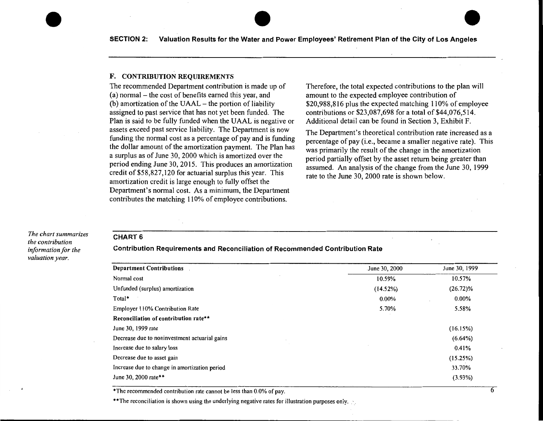#### F. CONTRIBUTION REQUIREMENTS

The recommended Department contribution is made up of (a) normal- the cost of benefits earned this year, and (b) amortization of the UAAL- the portion of liability assigned to past service that has not yet been funded. The Plan is said to be fully funded when the UAAL is negative or assets exceed past service liability. The Department is now funding the normal cost as a percentage of pay and is funding the dollar amount of the amortization payment. The Plan has a surplus as of June 30, 2000 which is amortized over the period ending June 30, 2015. This produces an amortization credit of \$58,827,120 for actuarial surplus this year. This amortization credit is large enough to fully offset the Department's normal cost. As a minimum, the Department contributes the matching 110% of employee contributions.

Therefore, the total expected contributions to the plan will amount to the expected employee contribution of \$20,988,816 plus the expected matching 110% of employee contributions or \$23,087,698 for a total of \$44,076,514. Additional detail can be found in Section 3, Exhibit F.

The Department's theoretical contribution rate increased as a percentage of pay (i.e., became a smaller negative rate). This was primarily the result of the change in the amortization period partially offset by the asset return being greater than assumed. An analysis of the change from the June 30, 1999 rate to the June 30, 2000 rate is shown below.

*The chart summarizes the contribution information for the valuation year.* 

 $\bullet$ 

#### **CHART 6**

#### **Contribution Requirements and Reconciliation of Recommended Contribution Rate**

| <b>Department Contributions</b>               | June 30, 2000 | June 30, 1999 |
|-----------------------------------------------|---------------|---------------|
| Normal cost                                   | 10.59%        | 10.57%        |
| Unfunded (surplus) amortization               | (14.52%)      | $(26.72)\%$   |
| Total*                                        | 0.00%         | $0.00\%$      |
| Employer 110% Contribution Rate               | 5.70%         | 5.58%         |
| Reconciliation of contribution rate**         |               |               |
| June 30, 1999 rate                            |               | (16.15%)      |
| Decrease due to noninvestment actuarial gains |               | $(6.64\%)$    |
| Increase due to salary loss                   |               | 0.41%         |
| Decrease due to asset gain                    |               | (15.25%)      |
| Increase due to change in amortization period |               | 33.70%        |
| June 30, 2000 rate**                          |               | $(3.93\%)$    |

\*The recommended contribution rate cannot be less than 0.0% of pay.

\*\* The reconciliation is shown using the underlying negative rates for illustration purposes only.

---------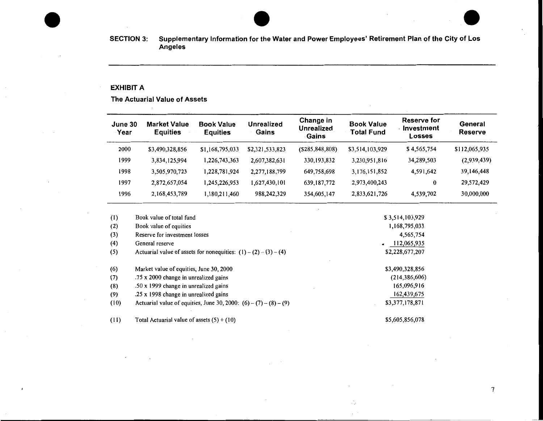#### **EXHIBIT A**

**The Actuarial Value of Assets** 

| June 30<br>Year | <b>Market Value</b><br><b>Equities</b> | <b>Book Value</b><br><b>Equities</b> | <b>Unrealized</b><br>Gains | Change in<br><b>Unrealized</b><br>Gains | <b>Book Value</b><br>Total Fund | Reserve for<br>Investment<br>Losses | General<br>Reserve |
|-----------------|----------------------------------------|--------------------------------------|----------------------------|-----------------------------------------|---------------------------------|-------------------------------------|--------------------|
| 2000            | \$3,490,328,856                        | \$1,168,795,033                      | \$2,321,533,823            | (S285, 848, 808)                        | \$3,514,103,929                 | \$4,565,754                         | \$112,065,935      |
| 1999            | 3,834,125,994                          | 226,743,363,                         | 2,607,382,631              | 330, 193, 832                           | 3,230,951,816                   | 34,289,503                          | (2,939,439)        |
| 1998            | 3,505,970,723                          | 228,781,924.ا                        | 2,277,188,799              | 649,758,698                             | 3,176,151,852                   | 4,591,642                           | 39,146,448         |
| 1997            | 2,872,657,054                          | 245,226,953,                         | 1,627,430,101              | 639, 187, 772                           | 2,973,400,243                   | 0                                   | 29,572,429         |
| 1996            | 2,168,453,789                          | ,180,211,460                         | 988,242,329                | 354,605,147                             | 2,833,621,726                   | 4,539,702                           | 30,000,000         |

Ą.  $\chi^2$  .

| (1)  | Book value of total fund                                            | \$3,514,103,929          |
|------|---------------------------------------------------------------------|--------------------------|
| (2)  | Book value of equities                                              | 1,168,795,033            |
| (3)  | Reserve for investment losses                                       | 4,565,754                |
| (4)  | General reserve                                                     | 112,065,935<br>$\bullet$ |
| (5)  | Actuarial value of assets for nonequities: $(1) - (2) - (3) - (4)$  | \$2,228,677,207          |
| (6)  | Market value of equities, June 30, 2000                             | \$3,490,328,856          |
| (7)  | .75 x 2000 change in unrealized gains                               | (214, 386, 606)          |
| (8)  | .50 x 1999 change in unrealized gains                               | 165,096,916              |
| (9)  | .25 x 1998 change in unrealized gains                               | 162,439,675              |
| (10) | Actuarial value of equities, June 30, 2000: $(6) - (7) - (8) - (9)$ | \$3,377,178,871          |
| (11) | Total Actuarial value of assets $(5) + (10)$                        | \$5,605,856,078          |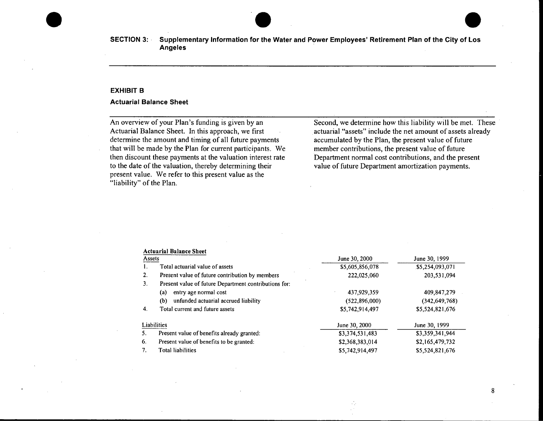

#### **EXHIBITS**

#### **Actuarial Balance Sheet**

An overview of your Plan's funding is given by an Actuarial Balance Sheet. In this approach, we first determine the amount and timing of all future payments that will be made by the Plan for current participants. We then discount these payments at the valuation interest rate to the date of the valuation, thereby determining their present value. We refer to this present value as the "liability" of the Plan.

Second, we determine how this liability will be met. These actuarial "assets" include the net amount of assets already accumulated by the Plan, the present value of future member contributions, the present value of future Department normal cost contributions, and the present value of future Department amortization payments.

#### Actuarial Balance Sheet

| Assets |                                                       | June 30, 2000   | June 30, 1999   |
|--------|-------------------------------------------------------|-----------------|-----------------|
| 1.     | Total actuarial value of assets                       | \$5,605,856,078 | \$5,254,093,071 |
| 2.     | Present value of future contribution by members       | 222,025,060     | 203,531,094     |
| 3.     | Present value of future Department contributions for: |                 |                 |
|        | entry age normal cost<br>(a)                          | 437,929,359     | 409,847,279     |
|        | unfunded actuarial accrued liability<br>(b)           | (522,896,000)   | (342, 649, 768) |
| 4.     | Total current and future assets                       | \$5,742,914,497 | \$5,524,821,676 |
|        | Liabilities                                           | June 30, 2000   | June 30, 1999   |
| 5.     | Present value of benefits already granted:            | \$3,374,531,483 | \$3,359,341,944 |
| 6.     | Present value of benefits to be granted:              | \$2,368,383,014 | \$2,165,479,732 |
| 7.     | Total liabilities                                     | \$5,742,914,497 | \$5,524,821,676 |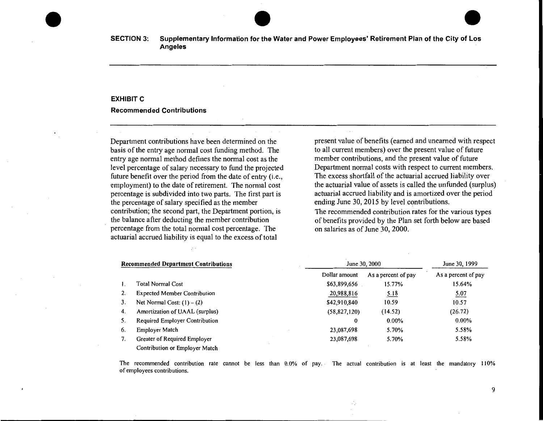#### **EXHIBIT C**

#### **Recommended Contributions**

Department contributions have been determined on the basis of the entry age normal cost funding method. The entry age normal method defines the normal cost as the level percentage of salary necessary to fund the projected future benefit over the period from the date of entry (i.e., employment) to the date of retirement. The normal cost percentage is subdivided into two parts. The first part is the percentage of salary specified as the member contribution; the second part, the Department portion, is the balance after deducting the member contribution percentage from the total normal cost percentage. The actuarial accrued liability is equal to the excess of total

present value of benefits (earned and unearned with respect to all current members) over the present value of future member contributions, and the present value of future Department normal costs with respect to current members. The excess shortfall of the actuarial accrued liability over the actuarial value of assets is called the unfunded (surplus) actuarial accrued liability and is amortized over the period ending June 30, 2015 by level contributions.

The recommended contribution rates for the various types of benefits provided by the Plan set forth below are based on salaries as of June 30, 2000.

|    | <b>Recommended Department Contributions</b> |                | June 30, 2000       |                     |  |
|----|---------------------------------------------|----------------|---------------------|---------------------|--|
|    |                                             | Dollar amount  | As a percent of pay | As a percent of pay |  |
| Ł. | <b>Total Normal Cost</b>                    | \$63,899,656   | 15.77%              | 15.64%              |  |
| 2. | <b>Expected Member Contribution</b>         | 20,988,816     | 5.18                | 5.07                |  |
| 3. | Net Normal Cost: $(1) - (2)$                | \$42,910,840   | 10.59               | 10.57               |  |
| 4. | Amortization of UAAL (surplus)              | (58, 827, 120) | (14.52)             | (26.72)             |  |
| 5. | Required Employer Contribution              | 0              | $0.00\%$            | $0.00\%$            |  |
| 6. | Employer Match                              | 23,087,698     | 5.70%               | 5.58%               |  |
| 7. | Greater of Required Employer                | 23,087,698     | 5.70%               | 5.58%               |  |
|    | Contribution or Employer Match              |                |                     |                     |  |

The recommended contribution rate cannot be less than  $0.0\%$  of pay. The actual contribution is at least the mandatory 110% of employees contributions.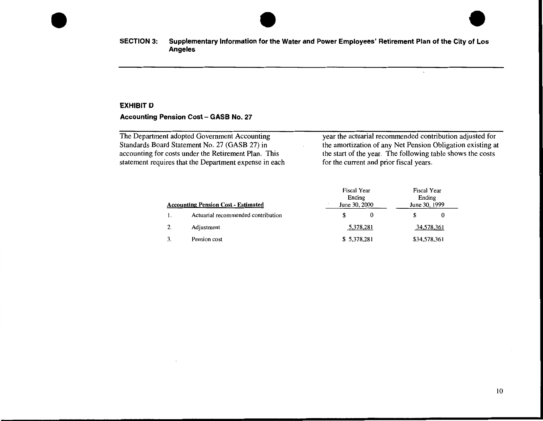

 $\ddot{\phantom{a}}$ 

#### **EXHIBIT D**

## **Accounting Pension Cost- GASB No. 27**

| The Department adopted Government Accounting           | year the actuarial recommended contribution adjusted for   |
|--------------------------------------------------------|------------------------------------------------------------|
| Standards Board Statement No. 27 (GASB 27) in          | the amortization of any Net Pension Obligation existing at |
| accounting for costs under the Retirement Plan. This   | the start of the year. The following table shows the costs |
| statement requires that the Department expense in each | for the current and prior fiscal years.                    |

| <b>Accounting Pension Cost - Estimated</b> |                                    | <b>Fiscal Year</b><br>Ending<br>June 30, 2000 |           | Fiscal Year<br>Ending<br>June 30, 1999 |              |
|--------------------------------------------|------------------------------------|-----------------------------------------------|-----------|----------------------------------------|--------------|
|                                            | Actuarial recommended contribution | £.                                            |           |                                        | 0            |
| 2.                                         | Adjustment                         |                                               | 5,378,281 |                                        | 34,578,361   |
|                                            | Pension cost                       | \$5.378,281                                   |           |                                        | \$34,578,361 |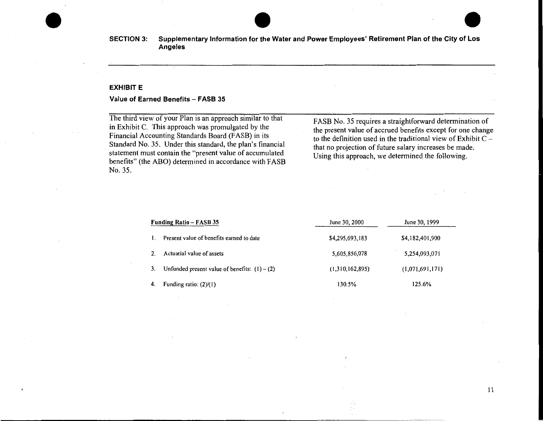#### **EXHIBIT E**

#### **Value of Earned Benefits- FASB 35**

The third view of your Plan is an approach similar to that in Exhibit C. This approach was promulgated by the Financial Accounting Standards Board (FASB) in its Standard No. 35. Under this standard, the plan's financial statement must contain the "present value of accumulated benefits" (the ABO) determined in accordance with FASB No. 35.

FASB No. 35 requires a straightforward determination of the present value of accrued benefits except for one change to the definition used in the traditional view of Exhibit C that no projection of future salary increases be made. Using this approach, we determined the following.

| <b>Funding Ratio – FASB 35</b>                  | June 30, 2000   | June 30, 1999   |  |
|-------------------------------------------------|-----------------|-----------------|--|
| Present value of benefits earned to date        | \$4,295,693,183 | \$4,182,401,900 |  |
| Actuarial value of assets                       | 5,605,856,078   | 5,254,093,071   |  |
| Unfunded present value of benefits: $(1) - (2)$ | (1,310,162,895) | (1,071,691,171) |  |
| Funding ratio: $(2)/(1)$                        | 130.5%          | 125.6%          |  |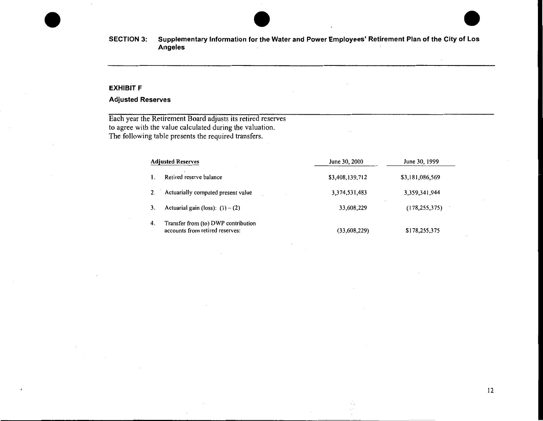### **EXHIBIT F**

## **Adjusted Reserves**

Each year the Retirement Board adjusts its retired reserves to agree with the value calculated during the valuation. The following table presents the required transfers.

| <b>Adjusted Reserves</b>                                                     | June 30, 2000   | June 30, 1999   |  |
|------------------------------------------------------------------------------|-----------------|-----------------|--|
| Retired reserve balance                                                      | \$3,408,139,712 | \$3,181,086,569 |  |
| Actuarially computed present value<br>2.                                     | 3,374,531,483   | 3,359,341,944   |  |
| Actuarial gain (loss): $(1) - (2)$<br>3.                                     | 33,608,229      | (178, 255, 375) |  |
| Transfer from (to) DWP contribution<br>4.<br>accounts from retired reserves: | (33,608,229)    | \$178,255,375   |  |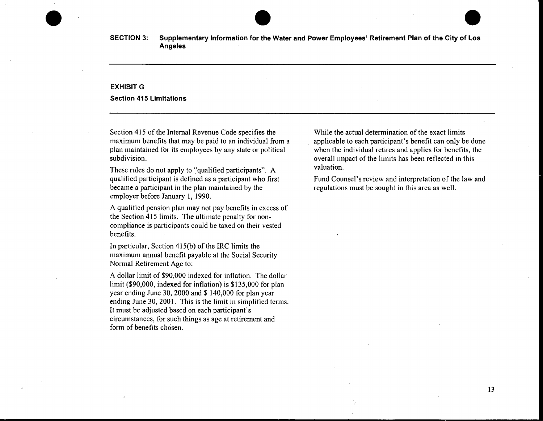#### **EXHIBITG**

**Section 415 Limitations** 

Section 415 of the Internal Revenue Code specifies the maximum benefits that may be paid to an individual from a plan maintained for its employees by any state or political subdivision.

These rules do not apply to ''qualified participants". A qualified participant is defined as a participant who first became a participant in the plan maintained by the employer before January 1, 1990.

A qualified pension plan may not pay benefits in excess of the Section 415 limits. The ultimate penalty for noncompliance is participants could be taxed on their vested benefits.

In particular, Section 415(b) of the IRC limits the maximum annual benefit payable at the Social Security Normal Retirement Age to:

A dollar limit of \$90,000 indexed for inflation. The dollar limit (\$90,000, indexed for inflation) is \$135,000 for plan year ending June 30, 2000 and \$ 140,000 for plan year ending June 30, 2001. This is the limit in simplified terms. It must be adjusted based on each participant's circumstances, for such things as age at retirement and form of benefits chosen.

While the actual determination of the exact limits applicable to each participant's benefit can only be done when the individual retires and applies for benefits, the overall impact of the limits has been reflected in this valuation.

Fund Counsel's review and interpretation of the law and regulations must be sought in this area as well.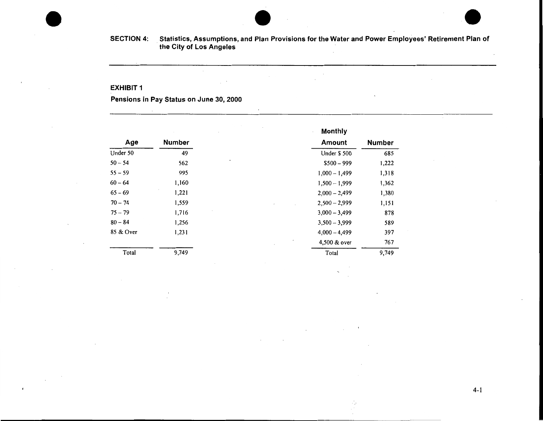#### **EXHIBIT 1**

**Pensions in Pay Status on June** 30, **2000** 

 $\mathcal{L}$ 

|           |               | $\mathbf{r}$<br><b>Monthly</b> |               |
|-----------|---------------|--------------------------------|---------------|
| Age       | <b>Number</b> | Amount                         | <b>Number</b> |
| Under 50  | 49            | Under \$500                    | 685           |
| $50 - 54$ | 562           | $$500 - 999$                   | 1,222         |
| $55 - 59$ | 995           | $1,000 - 1,499$                | 1,318         |
| $60 - 64$ | 1,160         | $1,500 - 1,999$                | 1,362         |
| $65 - 69$ | 1,221         | $2,000 - 2,499$                | 1,380         |
| $70 - 74$ | 1,559         | $2,500 - 2,999$                | 1,151         |
| $75 - 79$ | 1,716         | $3,000 - 3,499$                | 878           |
| $80 - 84$ | 1,256         | $3,500 - 3,999$                | 589           |
| 85 & Over | 1,231         | $4,000 - 4,499$                | 397           |
|           |               | 4,500 & over                   | 767           |
| Total     | 9,749         | Total                          | 9,749         |

 $\epsilon$ 

4-1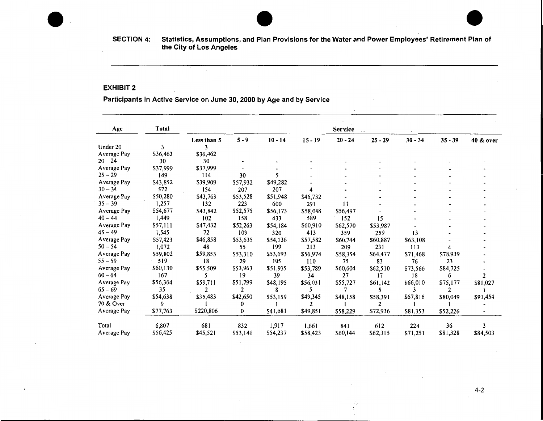#### EXHIBIT 2

## Participants in Active Service on June 30, 2000 by Age and by Service

 $\mathcal{L}$ 

| Age         | <b>Total</b> | Service        |          |           |           |           |           |           |                |           |
|-------------|--------------|----------------|----------|-----------|-----------|-----------|-----------|-----------|----------------|-----------|
|             |              | Less than 5    | $5 - 9$  | $10 - 14$ | $15 - 19$ | $20 - 24$ | $25 - 29$ | $30 - 34$ | $35 - 39$      | 40 & over |
| Under 20    | 3            | 3              |          |           |           |           |           |           |                |           |
| Average Pay | \$36,462     | \$36,462       |          |           |           |           |           |           |                |           |
| $20 - 24$   | 30           | 30             |          |           |           |           |           |           |                |           |
| Average Pay | \$37,999     | \$37,999       |          |           |           |           |           |           |                |           |
| $25 - 29$   | 149          | 114            | 30       |           |           |           |           |           |                |           |
| Average Pay | \$43,852     | \$39,909       | \$57,932 | \$49,282  |           |           |           |           |                |           |
| $30 - 34$   | 572          | 154            | 207      | 207       |           |           |           |           |                |           |
| Average Pay | \$50,280     | \$43,763       | \$53,528 | \$51,948  | \$46,732  |           |           |           |                |           |
| $35 - 39$   | 1,257        | 132            | 223      | 600       | 291       | 11        |           |           |                |           |
| Average Pay | \$54,677     | \$43,842       | \$52,575 | \$56,173  | \$58,048  | \$56,497  |           |           |                |           |
| $40 - 44$   | 1,449        | 102            | 158      | 433       | 589       | 152       | 15        |           |                |           |
| Average Pay | \$57,111     | \$47,432       | \$52,263 | \$54,184  | \$60,910  | \$62,570  | \$53,987  |           |                |           |
| $45 - 49$   | 1,545        | 72             | 109      | 320       | 413       | 359       | 259       | 13        |                |           |
| Average Pay | \$57,423     | \$46,858       | \$53,635 | \$54,136  | \$57,582  | \$60,744  | \$60,887  | \$63,108  |                |           |
| $50 - 54$   | 1,072        | 48             | 55       | 199       | 213       | 209       | 231       | 113       | 4              |           |
| Average Pay | \$59,802     | \$59,853       | \$53,310 | \$53,693  | \$56,974  | \$58,354  | \$64,477  | \$71,468  | \$78,939       |           |
| $55 - 59$   | 519          | 18             | 29       | 105       | 110       | 75        | 83        | 76        | 23             |           |
| Average Pay | \$60,130     | \$55,509       | \$53,963 | \$51,935  | \$53,789  | \$60,604  | \$62,510  | \$73,566  | \$84,725       |           |
| $60 - 64$   | 167          | 5              | 19       | 39        | 34        | 27        | 17        | 18        | 6              | 2         |
| Average Pay | \$56,364     | \$59,711       | \$51,799 | \$48,195  | \$56,031  | \$55,727  | \$61,142  | \$66,010  | \$75,177       | \$81,027  |
| $65 - 69$   | 35           | $\overline{2}$ | 2        | 8         | 5         |           | 5         | ٦         | $\mathfrak{p}$ |           |
| Average Pay | \$54,638     | \$35,483       | \$42,650 | \$53,159  | \$49,345  | \$48,158  | \$58,391  | \$67,816  | \$80,049       | \$91,454  |
| 70 & Over   | 9            |                | 0        |           | 2         |           | 2         |           |                |           |
| Average Pay | \$77,763     | \$220,806      | 0        | \$41,681  | \$49,851  | \$58,229  | \$72,936  | \$81,353  | \$52,226       |           |
| Total       | 6,807        | 681            | 832      | 1,917     | 1,661     | 841       | 612       | 224       | 36             | 3         |
| Average Pay | \$56,425     | \$45,521       | \$53,141 | \$54,237  | \$58,423  | \$60,144  | \$62,315  | \$71,251  | \$81,328       | \$84,503  |

ŵ  $\mathbb{C}^{n+1}$ 

4-2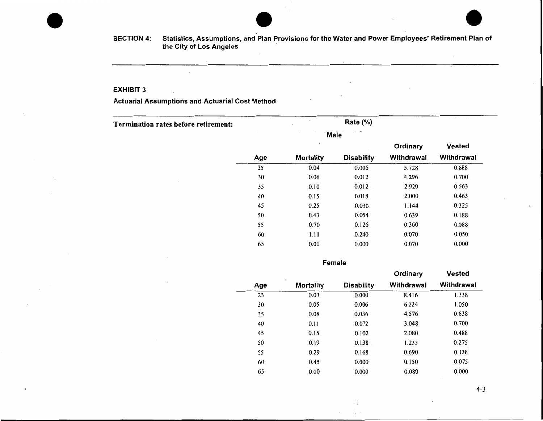$\mathcal{L}$ 

#### EXHIBIT 3

## Actuarial Assumptions and Actuarial Cost Method

Termination rates before retirement:

Rate(%)

|     | Male             |                   |            |               |
|-----|------------------|-------------------|------------|---------------|
|     |                  |                   | Ordinary   | <b>Vested</b> |
| Age | <b>Mortality</b> | <b>Disability</b> | Withdrawal | Withdrawal    |
| 25  | 0.04             | 0.006             | 5.728      | 0.888         |
| 30  | 0.06             | 0.012             | 4.296      | 0.700         |
| 35  | 0.10             | 0.012             | 2.920      | 0.563         |
| 40  | 0.15             | 0.018             | 2.000      | 0.463         |
| 45  | 0.25             | 0.030             | 1.144      | 0.325         |
| 50  | 0.43             | 0.054             | 0.639      | 0.188         |
| 55  | 0.70             | 0.126             | 0.360      | 0.088         |
| 60  | 1.11             | 0.240             | 0.070      | 0.050         |
| 65  | 0.00             | 0.000             | 0.070      | 0.000         |

Female

|     | ٠                |                   | Ordinary   | <b>Vested</b> |
|-----|------------------|-------------------|------------|---------------|
| Age | <b>Mortality</b> | <b>Disability</b> | Withdrawal | Withdrawal    |
| 25  | 0.03             | 0.000             | 8.416      | 1.338         |
| 30  | 0.05             | 0.006             | 6.224      | 1.050         |
| 35  | 0.08             | 0.036             | 4.576      | 0.838         |
| 40  | 0.11             | 0.072             | 3.048      | 0.700         |
| 45  | 0.15             | 0.102             | 2.080      | 0.488         |
| 50  | 0.19             | 0.138             | 1.233      | 0.275         |
| 55  | 0.29             | 0.168             | 0.690      | 0.138         |
| 60  | 0.45             | 0.000             | 0.150      | 0.075         |
| 65  | 0.00             | 0.000             | 0.080      | 0.000         |

Λ,

 $\mathcal{L}^{\pm}$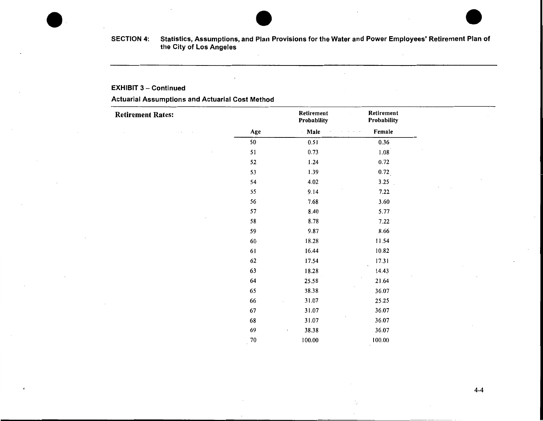#### EXHIBIT 3- Continued

## Actuarial Assumptions and Actuarial Cost Method

| <b>Retirement Rates:</b> |        | Retirement<br>Probability | Retirement<br>Probability |
|--------------------------|--------|---------------------------|---------------------------|
|                          | Age    | - Male                    | Female                    |
|                          | 50     | 0.51                      | 0.36                      |
|                          | 51     | 0.73                      | 1.08                      |
|                          | 52     | 1.24                      | 0.72                      |
|                          | 53     | 1.39                      | 0.72                      |
|                          | 54     | 4.02                      | 3.25                      |
|                          | 55     | 9.14                      | 7.22                      |
|                          | 56     | 7.68                      | 3.60                      |
|                          | 57     | 8.40                      | 5.77                      |
|                          | 58     | 8.78                      | 7.22                      |
|                          | 59     | 9.87                      | 8.66                      |
|                          | 60     | 18.28                     | 11.54                     |
|                          | 61     | 16.44                     | 10.82                     |
|                          | 62     | 17.54                     | 17.31                     |
|                          | 63     | 18.28                     | 14.43                     |
|                          | 64     | 25.58                     | 21.64                     |
|                          | 65     | 38.38                     | 36.07                     |
|                          | 66     | 31.07<br>$\epsilon$       | 25.25                     |
|                          | 67     | 31.07                     | 36.07                     |
|                          | 68     | 31.07                     | 36.07                     |
|                          | 69     | 38.38<br>$\cdot$          | 36.07                     |
|                          | $70\,$ | 100.00                    | 100.00                    |

Ą.  $\mathcal{L}$ 

4-4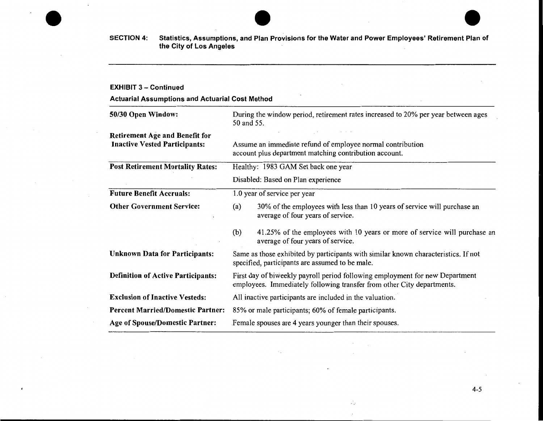#### EXHIBIT 3- Continued

Actuarial Assumptions and Actuarial Cost Method

| 50/30 Open Window:                                                            | During the window period, retirement rates increased to 20% per year between ages<br>50 and 55.                                                        |  |  |  |  |
|-------------------------------------------------------------------------------|--------------------------------------------------------------------------------------------------------------------------------------------------------|--|--|--|--|
| <b>Retirement Age and Benefit for</b><br><b>Inactive Vested Participants:</b> | Assume an immediate refund of employee normal contribution<br>account plus department matching contribution account.                                   |  |  |  |  |
| <b>Post Retirement Mortality Rates:</b>                                       | Healthy: 1983 GAM Set back one year                                                                                                                    |  |  |  |  |
|                                                                               | Disabled: Based on Plan experience                                                                                                                     |  |  |  |  |
| <b>Future Benefit Accruals:</b>                                               | 1.0 year of service per year                                                                                                                           |  |  |  |  |
| <b>Other Government Service:</b>                                              | 30% of the employees with less than 10 years of service will purchase an<br>(a)<br>average of four years of service.                                   |  |  |  |  |
|                                                                               | 41.25% of the employees with 10 years or more of service will purchase an<br>(b)<br>average of four years of service.                                  |  |  |  |  |
| <b>Unknown Data for Participants:</b>                                         | Same as those exhibited by participants with similar known characteristics. If not<br>specified, participants are assumed to be male.                  |  |  |  |  |
| <b>Definition of Active Participants:</b>                                     | First day of biweekly payroll period following employment for new Department<br>employees. Immediately following transfer from other City departments. |  |  |  |  |
| <b>Exclusion of Inactive Vesteds:</b>                                         | All inactive participants are included in the valuation.                                                                                               |  |  |  |  |
| <b>Percent Married/Domestic Partner:</b>                                      | 85% or male participants; 60% of female participants.                                                                                                  |  |  |  |  |
| <b>Age of Spouse/Domestic Partner:</b>                                        | Female spouses are 4 years younger than their spouses.                                                                                                 |  |  |  |  |

 $\sim 10^{-1}$ 

Ψ.  $\sim$ 

4-5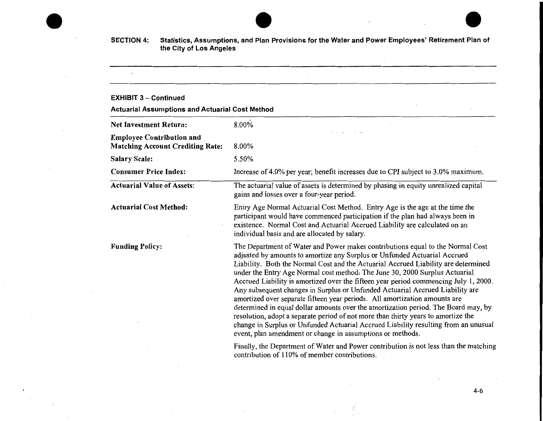#### EXHIBIT 3 – Continued

 $\ddot{\phantom{a}}$ 

Actuarial Assumptions and Actuarial Cost Method

| <b>Net Investment Return:</b>                                               | 8.00%                                                                                                                                                                                                                                                                                                                                                                                                                                                                                                                                                                                                                                                                                                                                                                                                                                                                                                                   |  |  |
|-----------------------------------------------------------------------------|-------------------------------------------------------------------------------------------------------------------------------------------------------------------------------------------------------------------------------------------------------------------------------------------------------------------------------------------------------------------------------------------------------------------------------------------------------------------------------------------------------------------------------------------------------------------------------------------------------------------------------------------------------------------------------------------------------------------------------------------------------------------------------------------------------------------------------------------------------------------------------------------------------------------------|--|--|
| <b>Employee Contribution and</b><br><b>Matching Account Crediting Rate:</b> | 8.00%                                                                                                                                                                                                                                                                                                                                                                                                                                                                                                                                                                                                                                                                                                                                                                                                                                                                                                                   |  |  |
| <b>Salary Scale:</b>                                                        | 5.50%<br>Increase of 4.0% per year; benefit increases due to CPI subject to 3.0% maximum.<br>The actuarial value of assets is determined by phasing in equity unrealized capital<br>gains and losses over a four-year period.                                                                                                                                                                                                                                                                                                                                                                                                                                                                                                                                                                                                                                                                                           |  |  |
| <b>Consumer Price Index:</b>                                                |                                                                                                                                                                                                                                                                                                                                                                                                                                                                                                                                                                                                                                                                                                                                                                                                                                                                                                                         |  |  |
| <b>Actuarial Value of Assets:</b>                                           |                                                                                                                                                                                                                                                                                                                                                                                                                                                                                                                                                                                                                                                                                                                                                                                                                                                                                                                         |  |  |
| <b>Actuarial Cost Method:</b>                                               | Entry Age Normal Actuarial Cost Method. Entry Age is the age at the time the<br>participant would have commenced participation if the plan had always been in<br>existence. Normal Cost and Actuarial Accrued Liability are calculated on an<br>individual basis and are allocated by salary.                                                                                                                                                                                                                                                                                                                                                                                                                                                                                                                                                                                                                           |  |  |
| <b>Funding Policy:</b>                                                      | The Department of Water and Power makes contributions equal to the Normal Cost<br>adjusted by amounts to amortize any Surplus or Unfunded Actuarial Accrued<br>Liability. Both the Normal Cost and the Actuarial Accrued Liability are determined<br>under the Entry Age Normal cost method. The June 30, 2000 Surplus Actuarial<br>Accrued Liability is amortized over the fifteen year period commencing July 1, 2000.<br>Any subsequent changes in Surplus or Unfunded Actuarial Accrued Liability are<br>amortized over separate fifteen year periods. All amortization amounts are<br>determined in equal dollar amounts over the amortization period. The Board may, by<br>resolution, adopt a separate period of not more than thirty years to amortize the<br>change in Surplus or Unfunded Actuarial Accrued Liability resulting from an unusual<br>event, plan amendment or change in assumptions or methods. |  |  |
|                                                                             | Finally, the Department of Water and Power contribution is not less than the matching                                                                                                                                                                                                                                                                                                                                                                                                                                                                                                                                                                                                                                                                                                                                                                                                                                   |  |  |

epartment of Water and Power contribution is not less than the matching contribution of 110% of member contributions.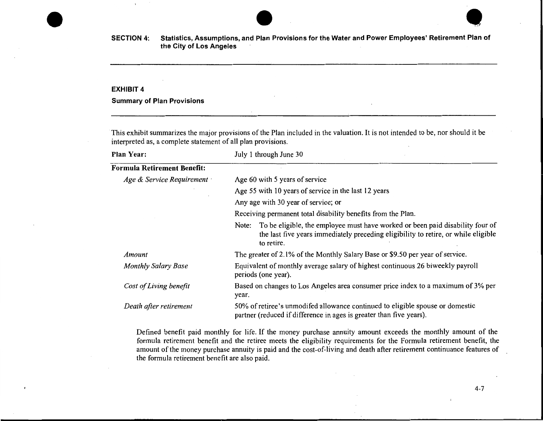

#### **EXHIBIT 4**

#### **Summary of Plan Provisions**

This exhibit summarizes the major provisions of the Plan included in the valuation. It is not intended to be, nor should it be interpreted as, a complete statement of all plan provisions.

| <b>Plan Year:</b>                  | July 1 through June 30                                                                                                                                                                     |
|------------------------------------|--------------------------------------------------------------------------------------------------------------------------------------------------------------------------------------------|
| <b>Formula Retirement Benefit:</b> |                                                                                                                                                                                            |
| Age & Service Requirement          | Age 60 with 5 years of service                                                                                                                                                             |
|                                    | Age 55 with 10 years of service in the last 12 years                                                                                                                                       |
|                                    | Any age with 30 year of service; or                                                                                                                                                        |
|                                    | Receiving permanent total disability benefits from the Plan.                                                                                                                               |
|                                    | To be eligible, the employee must have worked or been paid disability four of<br>Note:<br>the last five years immediately preceding eligibility to retire, or while eligible<br>to retire. |
| Amount                             | The greater of 2.1% of the Monthly Salary Base or \$9.50 per year of service.                                                                                                              |
| <b>Monthly Salary Base</b>         | Equivalent of monthly average salary of highest continuous 26 biweekly payroll<br>periods (one year).                                                                                      |
| Cost of Living benefit             | Based on changes to Los Angeles area consumer price index to a maximum of 3% per<br>year.                                                                                                  |
| Death after retirement             | 50% of retiree's unmodifed allowance continued to eligible spouse or domestic<br>partner (reduced if difference in ages is greater than five years).                                       |

Defined benefit paid monthly for life. If the money purchase annuity amount exceeds the monthly amount of the formula retirement benefit and the retiree meets the eligibility requirements for the Formula retirement benefit, the amount of the money purchase annuity is paid and the cost-of-living and death after retirement continuance features of the formula retirement benefit are also paid.

4-7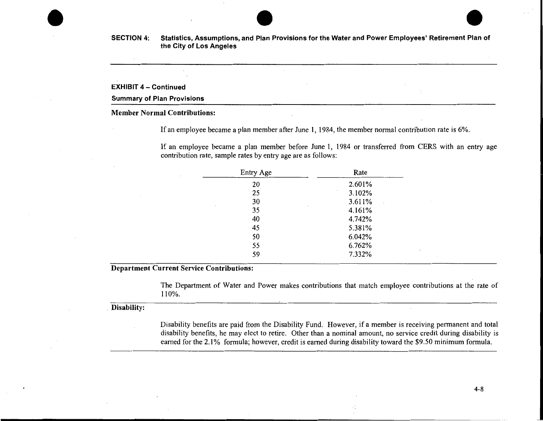

#### EXHIBIT 4- Continued

#### Summary of Plan Provisions

## Member Normal Contributions:

If an employee became a plan member after June 1, 1984, the member normal contribution rate is 6%.

If an employee became a plan member before June 1, 1984 or transferred from CERS with an entry age contribution rate, sample rates by entry age are as follows:

| Entry Age        | Rate   |
|------------------|--------|
| 20               | 2.601% |
| 25               | 3.102% |
| 30<br>$\epsilon$ | 3.611% |
| 35               | 4.161% |
| 40               | 4.742% |
| 45               | 5.381% |
| 50               | 6.042% |
| 55               | 6.762% |
| 59               | 7.332% |

Department Current Service Contributions:

The Department of Water and Power makes contributions that match employee contributions at the rate of 110% .

#### . Disability:

Disability benefits are paid from the Disability Fund. However, if a member is receiving permanent and total disability benefits, he may elect to retire. Other than a nominal amount, no service credit during disability is earned for the 2.1% formula; however, credit is earned during disability toward the \$9.50 minimum formula.